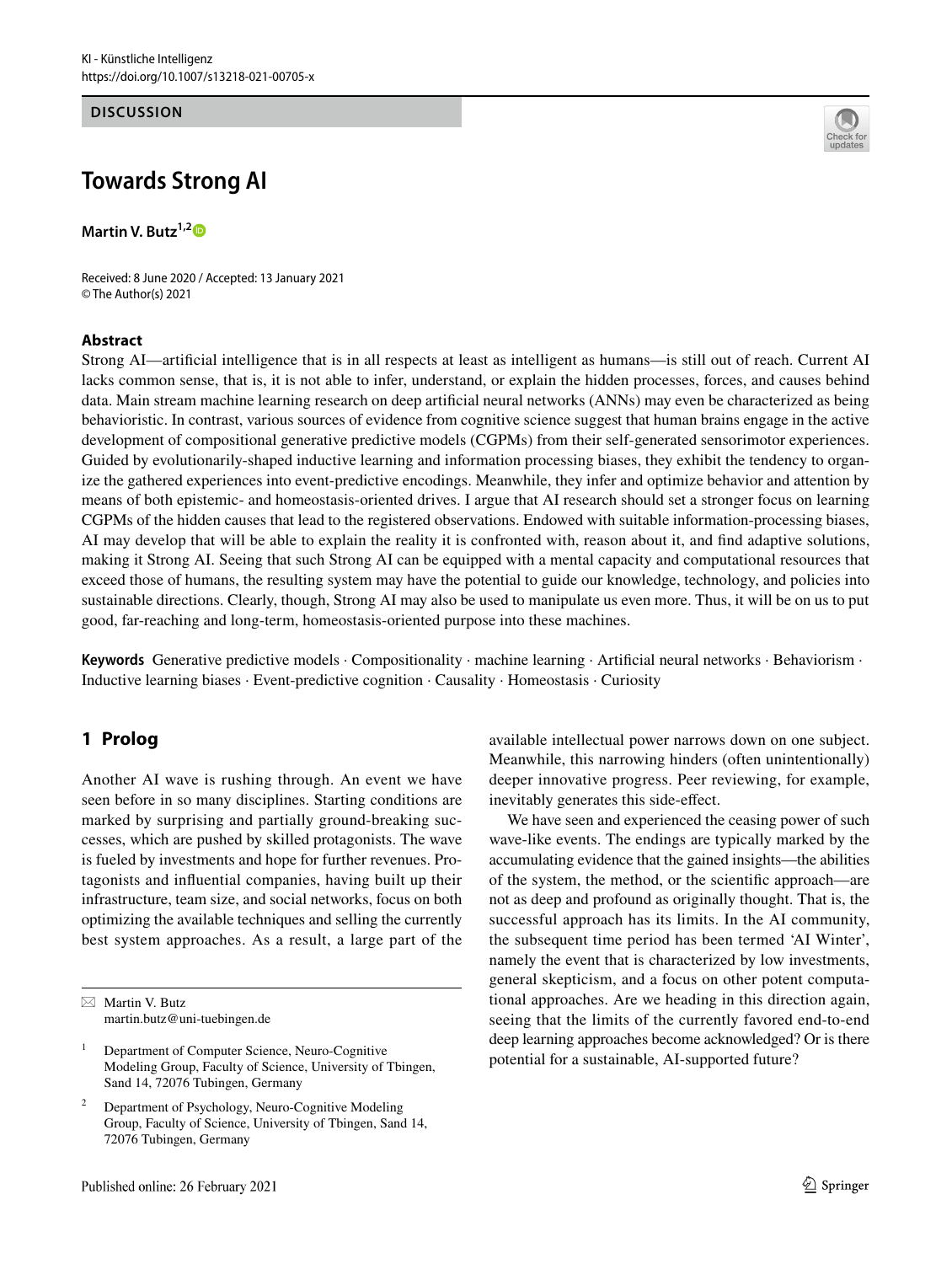#### **DISCUSSION**

# **Towards Strong AI**

**Martin V. Butz1,[2](http://orcid.org/0000-0002-8120-8537)**

Received: 8 June 2020 / Accepted: 13 January 2021 © The Author(s) 2021

## **Abstract**



Strong AI—artifcial intelligence that is in all respects at least as intelligent as humans—is still out of reach. Current AI lacks common sense, that is, it is not able to infer, understand, or explain the hidden processes, forces, and causes behind data. Main stream machine learning research on deep artifcial neural networks (ANNs) may even be characterized as being behavioristic. In contrast, various sources of evidence from cognitive science suggest that human brains engage in the active development of compositional generative predictive models (CGPMs) from their self-generated sensorimotor experiences. Guided by evolutionarily-shaped inductive learning and information processing biases, they exhibit the tendency to organize the gathered experiences into event-predictive encodings. Meanwhile, they infer and optimize behavior and attention by means of both epistemic- and homeostasis-oriented drives. I argue that AI research should set a stronger focus on learning CGPMs of the hidden causes that lead to the registered observations. Endowed with suitable information-processing biases, AI may develop that will be able to explain the reality it is confronted with, reason about it, and fnd adaptive solutions, making it Strong AI. Seeing that such Strong AI can be equipped with a mental capacity and computational resources that exceed those of humans, the resulting system may have the potential to guide our knowledge, technology, and policies into sustainable directions. Clearly, though, Strong AI may also be used to manipulate us even more. Thus, it will be on us to put good, far-reaching and long-term, homeostasis-oriented purpose into these machines.

Keywords Generative predictive models · Compositionality · machine learning · Artificial neural networks · Behaviorism · Inductive learning biases · Event-predictive cognition · Causality · Homeostasis · Curiosity

# **1 Prolog**

Another AI wave is rushing through. An event we have seen before in so many disciplines. Starting conditions are marked by surprising and partially ground-breaking successes, which are pushed by skilled protagonists. The wave is fueled by investments and hope for further revenues. Protagonists and infuential companies, having built up their infrastructure, team size, and social networks, focus on both optimizing the available techniques and selling the currently best system approaches. As a result, a large part of the

<sup>1</sup> Department of Computer Science, Neuro-Cognitive Modeling Group, Faculty of Science, University of Tbingen, Sand 14, 72076 Tubingen, Germany

available intellectual power narrows down on one subject. Meanwhile, this narrowing hinders (often unintentionally) deeper innovative progress. Peer reviewing, for example, inevitably generates this side-efect.

We have seen and experienced the ceasing power of such wave-like events. The endings are typically marked by the accumulating evidence that the gained insights—the abilities of the system, the method, or the scientifc approach—are not as deep and profound as originally thought. That is, the successful approach has its limits. In the AI community, the subsequent time period has been termed 'AI Winter', namely the event that is characterized by low investments, general skepticism, and a focus on other potent computational approaches. Are we heading in this direction again, seeing that the limits of the currently favored end-to-end deep learning approaches become acknowledged? Or is there potential for a sustainable, AI-supported future?

 $\boxtimes$  Martin V. Butz martin.butz@uni-tuebingen.de

<sup>2</sup> Department of Psychology, Neuro-Cognitive Modeling Group, Faculty of Science, University of Tbingen, Sand 14, 72076 Tubingen, Germany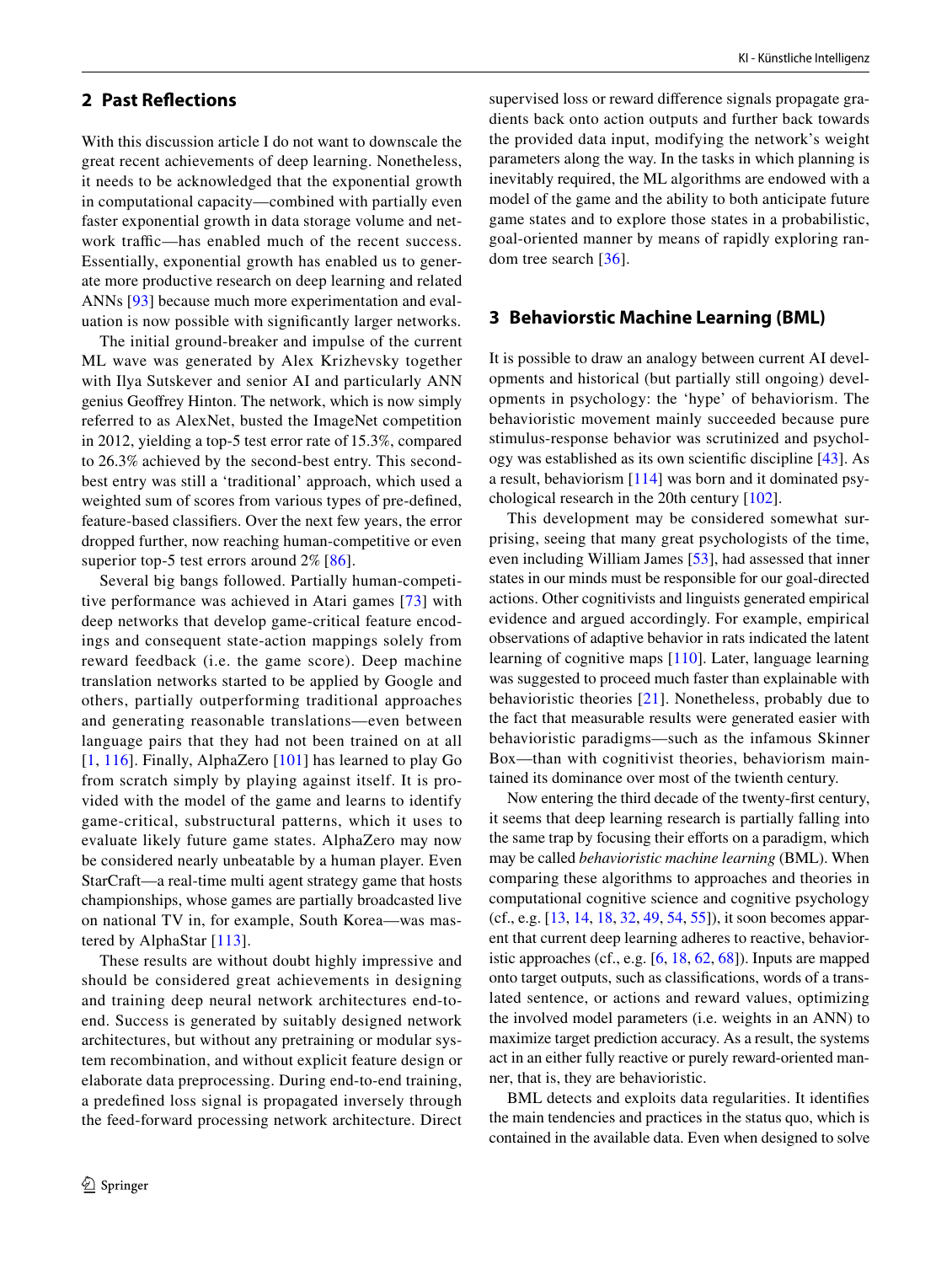# **2 Past Refections**

With this discussion article I do not want to downscale the great recent achievements of deep learning. Nonetheless, it needs to be acknowledged that the exponential growth in computational capacity—combined with partially even faster exponential growth in data storage volume and network traffic—has enabled much of the recent success. Essentially, exponential growth has enabled us to generate more productive research on deep learning and related ANNs [[93](#page-9-0)] because much more experimentation and evaluation is now possible with signifcantly larger networks.

The initial ground-breaker and impulse of the current ML wave was generated by Alex Krizhevsky together with Ilya Sutskever and senior AI and particularly ANN genius Geofrey Hinton. The network, which is now simply referred to as AlexNet, busted the ImageNet competition in 2012, yielding a top-5 test error rate of 15.3%, compared to 26.3% achieved by the second-best entry. This secondbest entry was still a 'traditional' approach, which used a weighted sum of scores from various types of pre-defned, feature-based classifers. Over the next few years, the error dropped further, now reaching human-competitive or even superior top-5 test errors around 2% [\[86\]](#page-9-1).

Several big bangs followed. Partially human-competitive performance was achieved in Atari games [[73](#page-9-2)] with deep networks that develop game-critical feature encodings and consequent state-action mappings solely from reward feedback (i.e. the game score). Deep machine translation networks started to be applied by Google and others, partially outperforming traditional approaches and generating reasonable translations—even between language pairs that they had not been trained on at all [[1,](#page-7-0) [116\]](#page-10-0). Finally, AlphaZero [\[101\]](#page-10-1) has learned to play Go from scratch simply by playing against itself. It is provided with the model of the game and learns to identify game-critical, substructural patterns, which it uses to evaluate likely future game states. AlphaZero may now be considered nearly unbeatable by a human player. Even StarCraft—a real-time multi agent strategy game that hosts championships, whose games are partially broadcasted live on national TV in, for example, South Korea—was mastered by AlphaStar [[113](#page-10-2)].

These results are without doubt highly impressive and should be considered great achievements in designing and training deep neural network architectures end-toend. Success is generated by suitably designed network architectures, but without any pretraining or modular system recombination, and without explicit feature design or elaborate data preprocessing. During end-to-end training, a predefned loss signal is propagated inversely through the feed-forward processing network architecture. Direct

supervised loss or reward diference signals propagate gradients back onto action outputs and further back towards the provided data input, modifying the network's weight parameters along the way. In the tasks in which planning is inevitably required, the ML algorithms are endowed with a model of the game and the ability to both anticipate future game states and to explore those states in a probabilistic, goal-oriented manner by means of rapidly exploring random tree search [[36](#page-8-0)].

## **3 Behaviorstic Machine Learning (BML)**

It is possible to draw an analogy between current AI developments and historical (but partially still ongoing) developments in psychology: the 'hype' of behaviorism. The behavioristic movement mainly succeeded because pure stimulus-response behavior was scrutinized and psychology was established as its own scientifc discipline [[43\]](#page-8-1). As a result, behaviorism [\[114\]](#page-10-3) was born and it dominated psychological research in the 20th century [[102\]](#page-10-4).

This development may be considered somewhat surprising, seeing that many great psychologists of the time, even including William James [[53\]](#page-8-2), had assessed that inner states in our minds must be responsible for our goal-directed actions. Other cognitivists and linguists generated empirical evidence and argued accordingly. For example, empirical observations of adaptive behavior in rats indicated the latent learning of cognitive maps [\[110\]](#page-10-5). Later, language learning was suggested to proceed much faster than explainable with behavioristic theories [[21\]](#page-8-3). Nonetheless, probably due to the fact that measurable results were generated easier with behavioristic paradigms—such as the infamous Skinner Box—than with cognitivist theories, behaviorism maintained its dominance over most of the twienth century.

Now entering the third decade of the twenty-frst century, it seems that deep learning research is partially falling into the same trap by focusing their efforts on a paradigm, which may be called *behavioristic machine learning* (BML). When comparing these algorithms to approaches and theories in computational cognitive science and cognitive psychology (cf., e.g. [\[13](#page-7-1), [14,](#page-7-2) [18](#page-8-4), [32](#page-8-5), [49,](#page-8-6) [54](#page-8-7), [55](#page-8-8)]), it soon becomes apparent that current deep learning adheres to reactive, behavioristic approaches (cf., e.g. [\[6](#page-7-3), [18](#page-8-4), [62,](#page-9-3) [68\]](#page-9-4)). Inputs are mapped onto target outputs, such as classifcations, words of a translated sentence, or actions and reward values, optimizing the involved model parameters (i.e. weights in an ANN) to maximize target prediction accuracy. As a result, the systems act in an either fully reactive or purely reward-oriented manner, that is, they are behavioristic.

BML detects and exploits data regularities. It identifes the main tendencies and practices in the status quo, which is contained in the available data. Even when designed to solve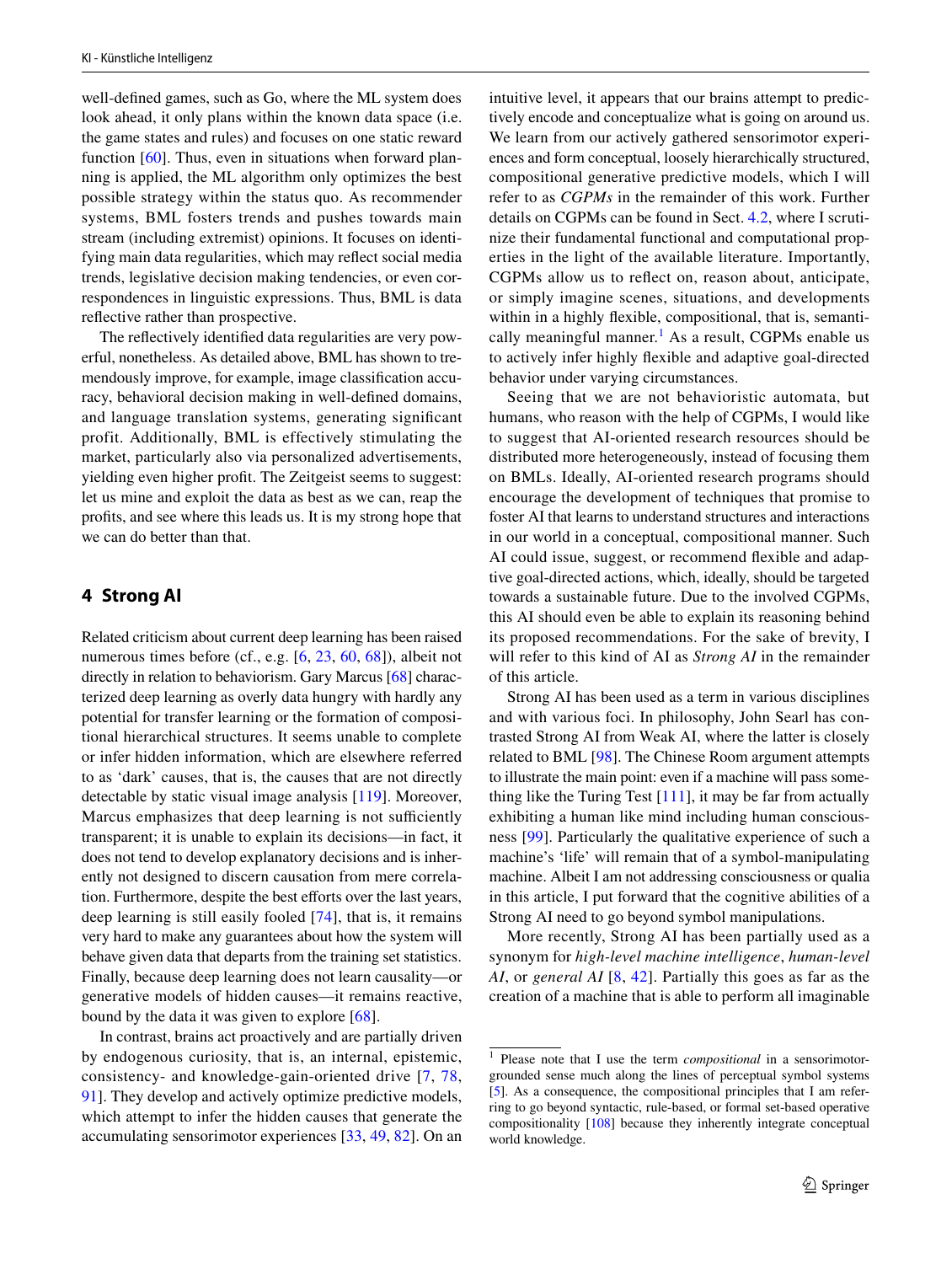well-defned games, such as Go, where the ML system does look ahead, it only plans within the known data space (i.e. the game states and rules) and focuses on one static reward function [[60](#page-9-5)]. Thus, even in situations when forward planning is applied, the ML algorithm only optimizes the best possible strategy within the status quo. As recommender systems, BML fosters trends and pushes towards main stream (including extremist) opinions. It focuses on identifying main data regularities, which may refect social media trends, legislative decision making tendencies, or even correspondences in linguistic expressions. Thus, BML is data refective rather than prospective.

The refectively identifed data regularities are very powerful, nonetheless. As detailed above, BML has shown to tremendously improve, for example, image classifcation accuracy, behavioral decision making in well-defned domains, and language translation systems, generating signifcant profit. Additionally, BML is effectively stimulating the market, particularly also via personalized advertisements, yielding even higher proft. The Zeitgeist seems to suggest: let us mine and exploit the data as best as we can, reap the profts, and see where this leads us. It is my strong hope that we can do better than that.

## **4 Strong AI**

Related criticism about current deep learning has been raised numerous times before (cf., e.g. [\[6](#page-7-3), [23,](#page-8-9) [60](#page-9-5), [68\]](#page-9-4)), albeit not directly in relation to behaviorism. Gary Marcus [\[68\]](#page-9-4) characterized deep learning as overly data hungry with hardly any potential for transfer learning or the formation of compositional hierarchical structures. It seems unable to complete or infer hidden information, which are elsewhere referred to as 'dark' causes, that is, the causes that are not directly detectable by static visual image analysis [[119\]](#page-10-6). Moreover, Marcus emphasizes that deep learning is not sufficiently transparent; it is unable to explain its decisions—in fact, it does not tend to develop explanatory decisions and is inherently not designed to discern causation from mere correlation. Furthermore, despite the best efforts over the last years, deep learning is still easily fooled [[74](#page-9-6)], that is, it remains very hard to make any guarantees about how the system will behave given data that departs from the training set statistics. Finally, because deep learning does not learn causality—or generative models of hidden causes—it remains reactive, bound by the data it was given to explore [\[68](#page-9-4)].

In contrast, brains act proactively and are partially driven by endogenous curiosity, that is, an internal, epistemic, consistency- and knowledge-gain-oriented drive [\[7,](#page-7-4) [78,](#page-9-7) [91](#page-9-8)]. They develop and actively optimize predictive models, which attempt to infer the hidden causes that generate the accumulating sensorimotor experiences [[33,](#page-8-10) [49,](#page-8-6) [82\]](#page-9-9). On an intuitive level, it appears that our brains attempt to predictively encode and conceptualize what is going on around us. We learn from our actively gathered sensorimotor experiences and form conceptual, loosely hierarchically structured, compositional generative predictive models, which I will refer to as *CGPMs* in the remainder of this work. Further details on CGPMs can be found in Sect. [4.2,](#page-4-0) where I scrutinize their fundamental functional and computational properties in the light of the available literature. Importantly, CGPMs allow us to refect on, reason about, anticipate, or simply imagine scenes, situations, and developments within in a highly fexible, compositional, that is, semanti-cally meaningful manner.<sup>[1](#page-2-0)</sup> As a result, CGPMs enable us to actively infer highly fexible and adaptive goal-directed behavior under varying circumstances.

Seeing that we are not behavioristic automata, but humans, who reason with the help of CGPMs, I would like to suggest that AI-oriented research resources should be distributed more heterogeneously, instead of focusing them on BMLs. Ideally, AI-oriented research programs should encourage the development of techniques that promise to foster AI that learns to understand structures and interactions in our world in a conceptual, compositional manner. Such AI could issue, suggest, or recommend fexible and adaptive goal-directed actions, which, ideally, should be targeted towards a sustainable future. Due to the involved CGPMs, this AI should even be able to explain its reasoning behind its proposed recommendations. For the sake of brevity, I will refer to this kind of AI as *Strong AI* in the remainder of this article.

Strong AI has been used as a term in various disciplines and with various foci. In philosophy, John Searl has contrasted Strong AI from Weak AI, where the latter is closely related to BML [\[98](#page-10-7)]. The Chinese Room argument attempts to illustrate the main point: even if a machine will pass something like the Turing Test  $[111]$  $[111]$ , it may be far from actually exhibiting a human like mind including human consciousness [[99](#page-10-9)]. Particularly the qualitative experience of such a machine's 'life' will remain that of a symbol-manipulating machine. Albeit I am not addressing consciousness or qualia in this article, I put forward that the cognitive abilities of a Strong AI need to go beyond symbol manipulations.

More recently, Strong AI has been partially used as a synonym for *high-level machine intelligence*, *human-level AI*, or *general AI* [[8](#page-7-5), [42](#page-8-11)]. Partially this goes as far as the creation of a machine that is able to perform all imaginable

<span id="page-2-0"></span><sup>1</sup> Please note that I use the term *compositional* in a sensorimotorgrounded sense much along the lines of perceptual symbol systems [[5](#page-7-6)]. As a consequence, the compositional principles that I am referring to go beyond syntactic, rule-based, or formal set-based operative compositionality [\[108](#page-10-10)] because they inherently integrate conceptual world knowledge.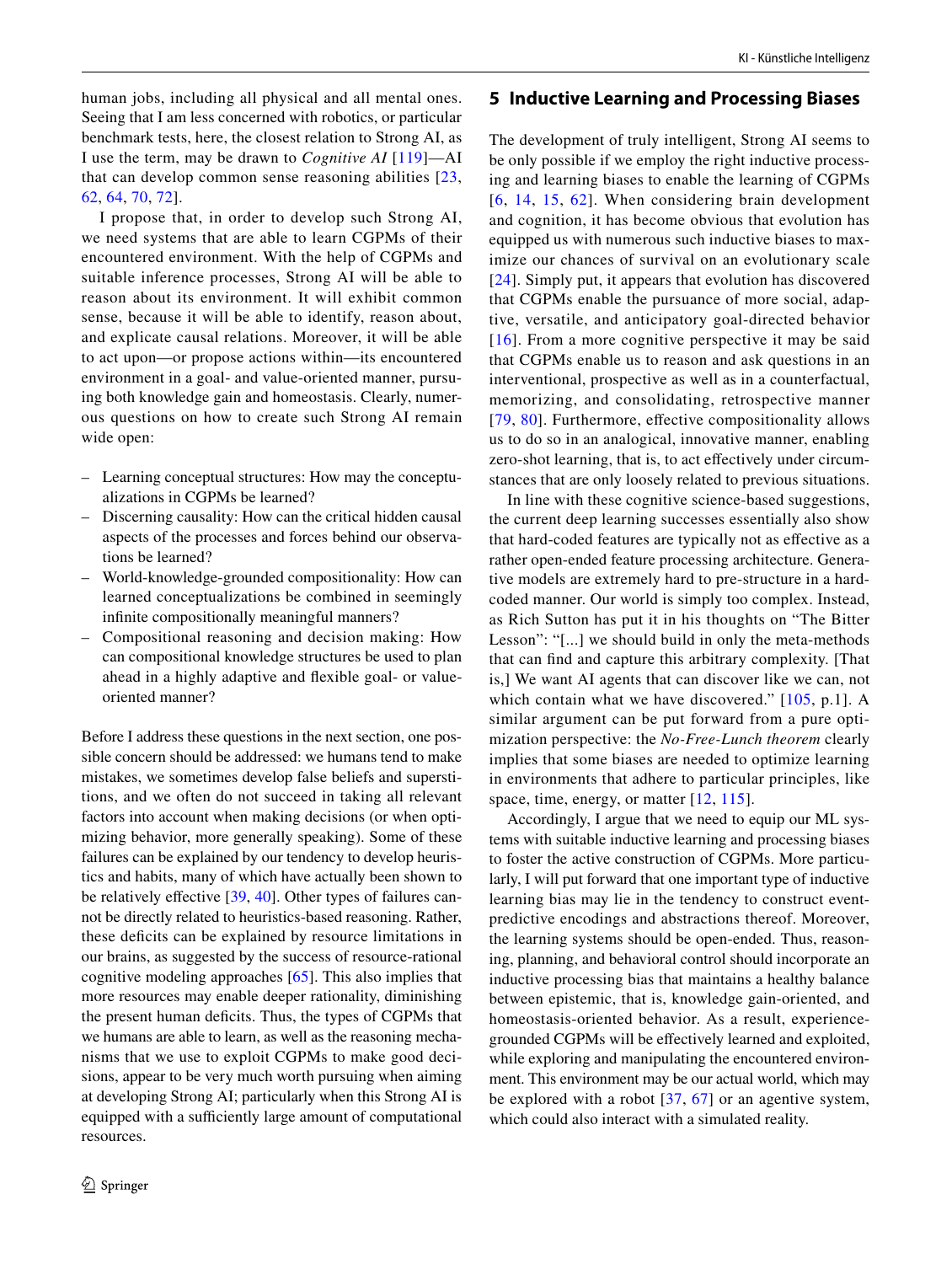human jobs, including all physical and all mental ones. Seeing that I am less concerned with robotics, or particular benchmark tests, here, the closest relation to Strong AI, as I use the term, may be drawn to *Cognitive AI* [[119\]](#page-10-6)—AI that can develop common sense reasoning abilities [[23,](#page-8-9) [62](#page-9-3), [64](#page-9-10), [70,](#page-9-11) [72](#page-9-12)].

I propose that, in order to develop such Strong AI, we need systems that are able to learn CGPMs of their encountered environment. With the help of CGPMs and suitable inference processes, Strong AI will be able to reason about its environment. It will exhibit common sense, because it will be able to identify, reason about, and explicate causal relations. Moreover, it will be able to act upon—or propose actions within—its encountered environment in a goal- and value-oriented manner, pursuing both knowledge gain and homeostasis. Clearly, numerous questions on how to create such Strong AI remain wide open:

- Learning conceptual structures: How may the conceptualizations in CGPMs be learned?
- Discerning causality: How can the critical hidden causal aspects of the processes and forces behind our observations be learned?
- World-knowledge-grounded compositionality: How can learned conceptualizations be combined in seemingly infnite compositionally meaningful manners?
- Compositional reasoning and decision making: How can compositional knowledge structures be used to plan ahead in a highly adaptive and fexible goal- or valueoriented manner?

Before I address these questions in the next section, one possible concern should be addressed: we humans tend to make mistakes, we sometimes develop false beliefs and superstitions, and we often do not succeed in taking all relevant factors into account when making decisions (or when optimizing behavior, more generally speaking). Some of these failures can be explained by our tendency to develop heuristics and habits, many of which have actually been shown to be relatively effective [\[39](#page-8-12), [40\]](#page-8-13). Other types of failures cannot be directly related to heuristics-based reasoning. Rather, these defcits can be explained by resource limitations in our brains, as suggested by the success of resource-rational cognitive modeling approaches [\[65](#page-9-13)]. This also implies that more resources may enable deeper rationality, diminishing the present human defcits. Thus, the types of CGPMs that we humans are able to learn, as well as the reasoning mechanisms that we use to exploit CGPMs to make good decisions, appear to be very much worth pursuing when aiming at developing Strong AI; particularly when this Strong AI is equipped with a sufficiently large amount of computational resources.

#### **5 Inductive Learning and Processing Biases**

The development of truly intelligent, Strong AI seems to be only possible if we employ the right inductive processing and learning biases to enable the learning of CGPMs [[6](#page-7-3), [14,](#page-7-2) [15](#page-7-7), [62\]](#page-9-3). When considering brain development and cognition, it has become obvious that evolution has equipped us with numerous such inductive biases to maximize our chances of survival on an evolutionary scale [[24](#page-8-14)]. Simply put, it appears that evolution has discovered that CGPMs enable the pursuance of more social, adaptive, versatile, and anticipatory goal-directed behavior  $[16]$  $[16]$  $[16]$ . From a more cognitive perspective it may be said that CGPMs enable us to reason and ask questions in an interventional, prospective as well as in a counterfactual, memorizing, and consolidating, retrospective manner [[79](#page-9-14), [80](#page-9-15)]. Furthermore, effective compositionality allows us to do so in an analogical, innovative manner, enabling zero-shot learning, that is, to act efectively under circumstances that are only loosely related to previous situations.

In line with these cognitive science-based suggestions, the current deep learning successes essentially also show that hard-coded features are typically not as efective as a rather open-ended feature processing architecture. Generative models are extremely hard to pre-structure in a hardcoded manner. Our world is simply too complex. Instead, as Rich Sutton has put it in his thoughts on "The Bitter Lesson": "[...] we should build in only the meta-methods that can fnd and capture this arbitrary complexity. [That is,] We want AI agents that can discover like we can, not which contain what we have discovered." [[105,](#page-10-11) p.1]. A similar argument can be put forward from a pure optimization perspective: the *No-Free-Lunch theorem* clearly implies that some biases are needed to optimize learning in environments that adhere to particular principles, like space, time, energy, or matter [\[12,](#page-7-8) [115\]](#page-10-12).

Accordingly, I argue that we need to equip our ML systems with suitable inductive learning and processing biases to foster the active construction of CGPMs. More particularly, I will put forward that one important type of inductive learning bias may lie in the tendency to construct eventpredictive encodings and abstractions thereof. Moreover, the learning systems should be open-ended. Thus, reasoning, planning, and behavioral control should incorporate an inductive processing bias that maintains a healthy balance between epistemic, that is, knowledge gain-oriented, and homeostasis-oriented behavior. As a result, experiencegrounded CGPMs will be efectively learned and exploited, while exploring and manipulating the encountered environment. This environment may be our actual world, which may be explored with a robot [[37](#page-8-16), [67](#page-9-16)] or an agentive system, which could also interact with a simulated reality.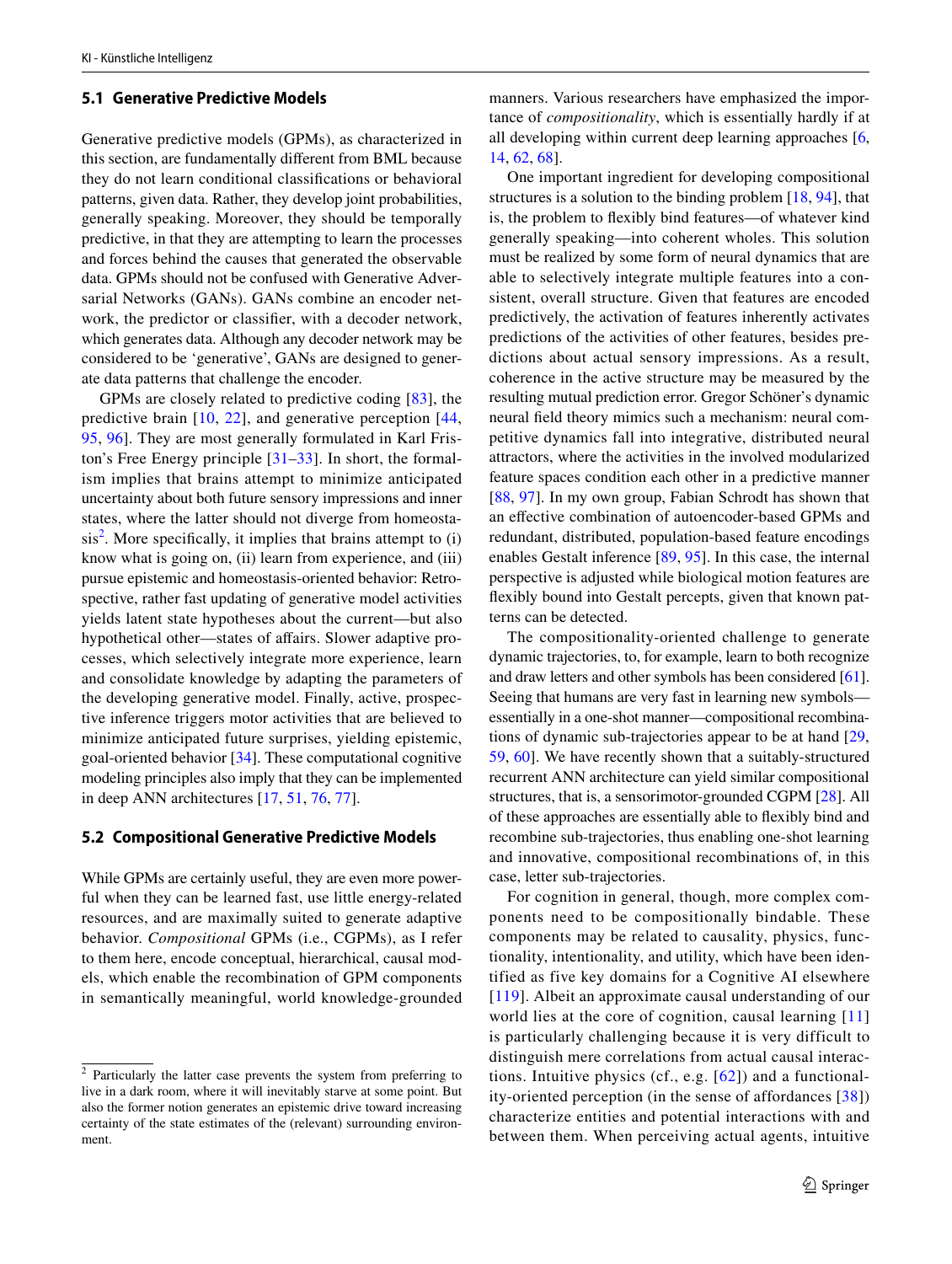### **5.1 Generative Predictive Models**

Generative predictive models (GPMs), as characterized in this section, are fundamentally diferent from BML because they do not learn conditional classifcations or behavioral patterns, given data. Rather, they develop joint probabilities, generally speaking. Moreover, they should be temporally predictive, in that they are attempting to learn the processes and forces behind the causes that generated the observable data. GPMs should not be confused with Generative Adversarial Networks (GANs). GANs combine an encoder network, the predictor or classifer, with a decoder network, which generates data. Although any decoder network may be considered to be 'generative', GANs are designed to generate data patterns that challenge the encoder.

GPMs are closely related to predictive coding [[83\]](#page-9-17), the predictive brain [\[10,](#page-7-9) [22](#page-8-17)], and generative perception [[44,](#page-8-18) [95](#page-9-18), [96](#page-10-13)]. They are most generally formulated in Karl Friston's Free Energy principle [\[31–](#page-8-19)[33](#page-8-10)]. In short, the formalism implies that brains attempt to minimize anticipated uncertainty about both future sensory impressions and inner states, where the latter should not diverge from homeosta- $sis<sup>2</sup>$  $sis<sup>2</sup>$  $sis<sup>2</sup>$ . More specifically, it implies that brains attempt to (i) know what is going on, (ii) learn from experience, and (iii) pursue epistemic and homeostasis-oriented behavior: Retrospective, rather fast updating of generative model activities yields latent state hypotheses about the current—but also hypothetical other—states of afairs. Slower adaptive processes, which selectively integrate more experience, learn and consolidate knowledge by adapting the parameters of the developing generative model. Finally, active, prospective inference triggers motor activities that are believed to minimize anticipated future surprises, yielding epistemic, goal-oriented behavior [[34\]](#page-8-20). These computational cognitive modeling principles also imply that they can be implemented in deep ANN architectures [\[17,](#page-8-21) [51,](#page-8-22) [76,](#page-9-19) [77\]](#page-9-20).

#### <span id="page-4-0"></span>**5.2 Compositional Generative Predictive Models**

While GPMs are certainly useful, they are even more powerful when they can be learned fast, use little energy-related resources, and are maximally suited to generate adaptive behavior. *Compositional* GPMs (i.e., CGPMs), as I refer to them here, encode conceptual, hierarchical, causal models, which enable the recombination of GPM components in semantically meaningful, world knowledge-grounded manners. Various researchers have emphasized the importance of *compositionality*, which is essentially hardly if at all developing within current deep learning approaches [[6,](#page-7-3) [14](#page-7-2), [62](#page-9-3), [68](#page-9-4)].

One important ingredient for developing compositional structures is a solution to the binding problem [[18,](#page-8-4) [94\]](#page-9-21), that is, the problem to fexibly bind features—of whatever kind generally speaking—into coherent wholes. This solution must be realized by some form of neural dynamics that are able to selectively integrate multiple features into a consistent, overall structure. Given that features are encoded predictively, the activation of features inherently activates predictions of the activities of other features, besides predictions about actual sensory impressions. As a result, coherence in the active structure may be measured by the resulting mutual prediction error. Gregor Schöner's dynamic neural feld theory mimics such a mechanism: neural competitive dynamics fall into integrative, distributed neural attractors, where the activities in the involved modularized feature spaces condition each other in a predictive manner [[88,](#page-9-22) [97](#page-10-14)]. In my own group, Fabian Schrodt has shown that an efective combination of autoencoder-based GPMs and redundant, distributed, population-based feature encodings enables Gestalt inference [[89,](#page-9-23) [95\]](#page-9-18). In this case, the internal perspective is adjusted while biological motion features are fexibly bound into Gestalt percepts, given that known patterns can be detected.

The compositionality-oriented challenge to generate dynamic trajectories, to, for example, learn to both recognize and draw letters and other symbols has been considered [[61](#page-9-24)]. Seeing that humans are very fast in learning new symbols essentially in a one-shot manner—compositional recombinations of dynamic sub-trajectories appear to be at hand [[29,](#page-8-23) [59](#page-9-25), [60\]](#page-9-5). We have recently shown that a suitably-structured recurrent ANN architecture can yield similar compositional structures, that is, a sensorimotor-grounded CGPM [[28\]](#page-8-24). All of these approaches are essentially able to fexibly bind and recombine sub-trajectories, thus enabling one-shot learning and innovative, compositional recombinations of, in this case, letter sub-trajectories.

For cognition in general, though, more complex components need to be compositionally bindable. These components may be related to causality, physics, functionality, intentionality, and utility, which have been identified as five key domains for a Cognitive AI elsewhere [[119](#page-10-6)]. Albeit an approximate causal understanding of our world lies at the core of cognition, causal learning [\[11\]](#page-7-10) is particularly challenging because it is very difficult to distinguish mere correlations from actual causal interactions. Intuitive physics (cf., e.g. [[62\]](#page-9-3)) and a functionality-oriented perception (in the sense of affordances [[38](#page-8-25)]) characterize entities and potential interactions with and between them. When perceiving actual agents, intuitive

<span id="page-4-1"></span><sup>&</sup>lt;sup>2</sup> Particularly the latter case prevents the system from preferring to live in a dark room, where it will inevitably starve at some point. But also the former notion generates an epistemic drive toward increasing certainty of the state estimates of the (relevant) surrounding environment.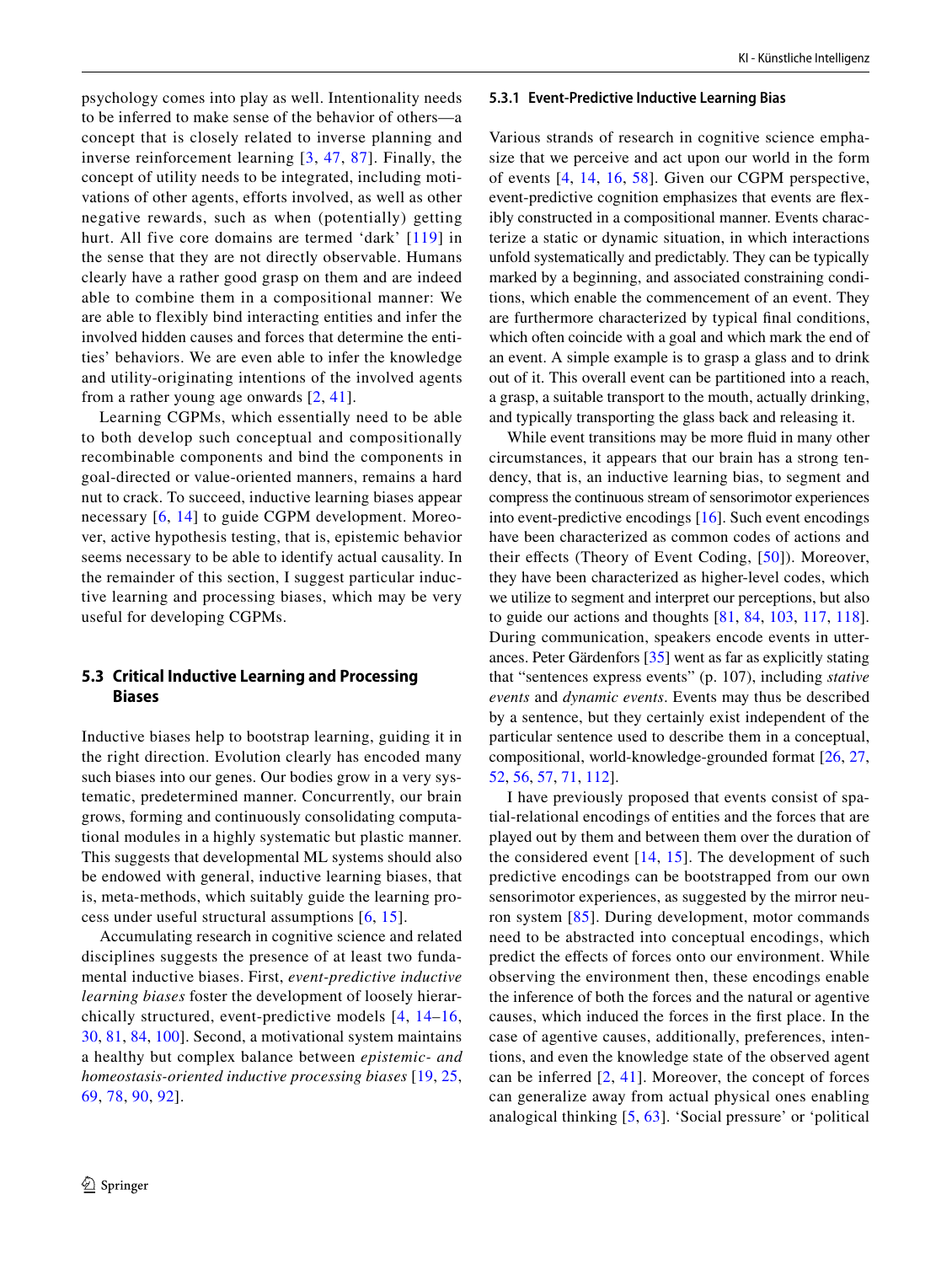psychology comes into play as well. Intentionality needs to be inferred to make sense of the behavior of others—a concept that is closely related to inverse planning and inverse reinforcement learning [[3,](#page-7-11) [47](#page-8-26), [87](#page-9-26)]. Finally, the concept of utility needs to be integrated, including motivations of other agents, efforts involved, as well as other negative rewards, such as when (potentially) getting hurt. All five core domains are termed 'dark' [[119](#page-10-6)] in the sense that they are not directly observable. Humans clearly have a rather good grasp on them and are indeed able to combine them in a compositional manner: We are able to flexibly bind interacting entities and infer the involved hidden causes and forces that determine the entities' behaviors. We are even able to infer the knowledge and utility-originating intentions of the involved agents from a rather young age onwards [[2](#page-7-12), [41\]](#page-8-27).

Learning CGPMs, which essentially need to be able to both develop such conceptual and compositionally recombinable components and bind the components in goal-directed or value-oriented manners, remains a hard nut to crack. To succeed, inductive learning biases appear necessary [[6](#page-7-3), [14\]](#page-7-2) to guide CGPM development. Moreover, active hypothesis testing, that is, epistemic behavior seems necessary to be able to identify actual causality. In the remainder of this section, I suggest particular inductive learning and processing biases, which may be very useful for developing CGPMs.

# **5.3 Critical Inductive Learning and Processing Biases**

Inductive biases help to bootstrap learning, guiding it in the right direction. Evolution clearly has encoded many such biases into our genes. Our bodies grow in a very systematic, predetermined manner. Concurrently, our brain grows, forming and continuously consolidating computational modules in a highly systematic but plastic manner. This suggests that developmental ML systems should also be endowed with general, inductive learning biases, that is, meta-methods, which suitably guide the learning process under useful structural assumptions  $[6, 15]$  $[6, 15]$  $[6, 15]$  $[6, 15]$  $[6, 15]$ .

Accumulating research in cognitive science and related disciplines suggests the presence of at least two fundamental inductive biases. First, *event-predictive inductive learning biases* foster the development of loosely hierarchically structured, event-predictive models [[4,](#page-7-13) [14–](#page-7-2)[16,](#page-8-15) [30](#page-8-28), [81,](#page-9-27) [84](#page-9-28), [100\]](#page-10-15). Second, a motivational system maintains a healthy but complex balance between *epistemic- and homeostasis-oriented inductive processing biases* [[19](#page-8-29), [25,](#page-8-30) [69,](#page-9-29) [78](#page-9-7), [90](#page-9-30), [92](#page-9-31)].

#### **5.3.1 Event‑Predictive Inductive Learning Bias**

Various strands of research in cognitive science emphasize that we perceive and act upon our world in the form of events [\[4,](#page-7-13) [14](#page-7-2), [16,](#page-8-15) [58](#page-9-32)]. Given our CGPM perspective, event-predictive cognition emphasizes that events are fexibly constructed in a compositional manner. Events characterize a static or dynamic situation, in which interactions unfold systematically and predictably. They can be typically marked by a beginning, and associated constraining conditions, which enable the commencement of an event. They are furthermore characterized by typical fnal conditions, which often coincide with a goal and which mark the end of an event. A simple example is to grasp a glass and to drink out of it. This overall event can be partitioned into a reach, a grasp, a suitable transport to the mouth, actually drinking, and typically transporting the glass back and releasing it.

While event transitions may be more fuid in many other circumstances, it appears that our brain has a strong tendency, that is, an inductive learning bias, to segment and compress the continuous stream of sensorimotor experiences into event-predictive encodings [[16\]](#page-8-15). Such event encodings have been characterized as common codes of actions and their effects (Theory of Event Coding, [[50](#page-8-31)]). Moreover, they have been characterized as higher-level codes, which we utilize to segment and interpret our perceptions, but also to guide our actions and thoughts [[81](#page-9-27), [84](#page-9-28), [103,](#page-10-16) [117,](#page-10-17) [118](#page-10-18)]. During communication, speakers encode events in utterances. Peter Gärdenfors [\[35](#page-8-32)] went as far as explicitly stating that "sentences express events" (p. 107), including *stative events* and *dynamic events*. Events may thus be described by a sentence, but they certainly exist independent of the particular sentence used to describe them in a conceptual, compositional, world-knowledge-grounded format [\[26](#page-8-33), [27,](#page-8-34) [52](#page-8-35), [56](#page-8-36), [57](#page-8-37), [71](#page-9-33), [112\]](#page-10-19).

I have previously proposed that events consist of spatial-relational encodings of entities and the forces that are played out by them and between them over the duration of the considered event [\[14](#page-7-2), [15](#page-7-7)]. The development of such predictive encodings can be bootstrapped from our own sensorimotor experiences, as suggested by the mirror neuron system [[85](#page-9-34)]. During development, motor commands need to be abstracted into conceptual encodings, which predict the effects of forces onto our environment. While observing the environment then, these encodings enable the inference of both the forces and the natural or agentive causes, which induced the forces in the frst place. In the case of agentive causes, additionally, preferences, intentions, and even the knowledge state of the observed agent can be inferred  $[2, 41]$  $[2, 41]$  $[2, 41]$  $[2, 41]$ . Moreover, the concept of forces can generalize away from actual physical ones enabling analogical thinking [[5,](#page-7-6) [63\]](#page-9-35). 'Social pressure' or 'political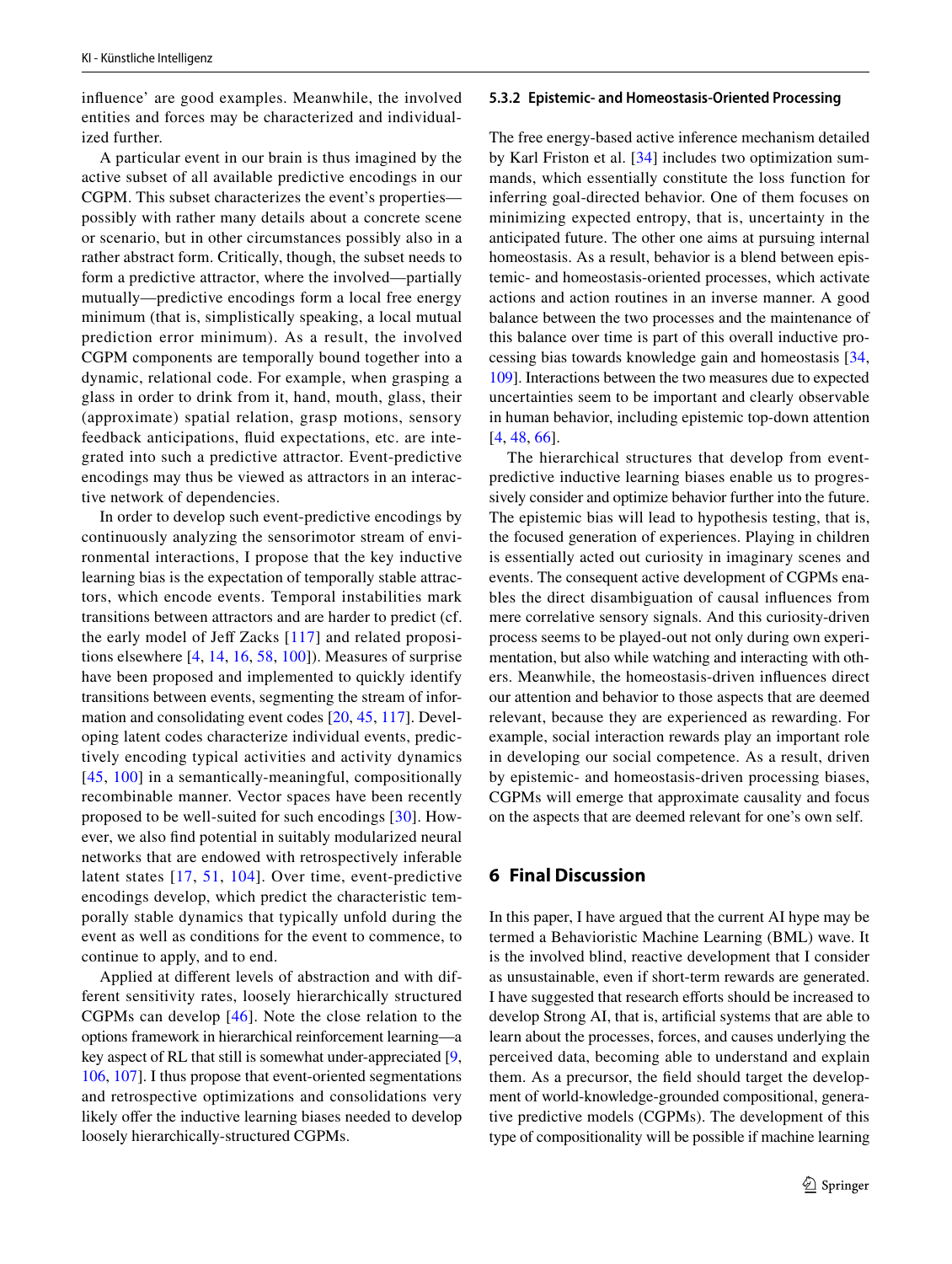infuence' are good examples. Meanwhile, the involved entities and forces may be characterized and individualized further.

A particular event in our brain is thus imagined by the active subset of all available predictive encodings in our CGPM. This subset characterizes the event's properties possibly with rather many details about a concrete scene or scenario, but in other circumstances possibly also in a rather abstract form. Critically, though, the subset needs to form a predictive attractor, where the involved—partially mutually—predictive encodings form a local free energy minimum (that is, simplistically speaking, a local mutual prediction error minimum). As a result, the involved CGPM components are temporally bound together into a dynamic, relational code. For example, when grasping a glass in order to drink from it, hand, mouth, glass, their (approximate) spatial relation, grasp motions, sensory feedback anticipations, fuid expectations, etc. are integrated into such a predictive attractor. Event-predictive encodings may thus be viewed as attractors in an interactive network of dependencies.

In order to develop such event-predictive encodings by continuously analyzing the sensorimotor stream of environmental interactions, I propose that the key inductive learning bias is the expectation of temporally stable attractors, which encode events. Temporal instabilities mark transitions between attractors and are harder to predict (cf. the early model of Jeff Zacks  $[117]$  $[117]$  $[117]$  and related propositions elsewhere [\[4](#page-7-13), [14,](#page-7-2) [16,](#page-8-15) [58](#page-9-32), [100\]](#page-10-15)). Measures of surprise have been proposed and implemented to quickly identify transitions between events, segmenting the stream of information and consolidating event codes [\[20,](#page-8-38) [45,](#page-8-39) [117\]](#page-10-17). Developing latent codes characterize individual events, predictively encoding typical activities and activity dynamics [[45](#page-8-39), [100](#page-10-15)] in a semantically-meaningful, compositionally recombinable manner. Vector spaces have been recently proposed to be well-suited for such encodings [\[30\]](#page-8-28). However, we also fnd potential in suitably modularized neural networks that are endowed with retrospectively inferable latent states [[17,](#page-8-21) [51,](#page-8-22) [104\]](#page-10-20). Over time, event-predictive encodings develop, which predict the characteristic temporally stable dynamics that typically unfold during the event as well as conditions for the event to commence, to continue to apply, and to end.

Applied at diferent levels of abstraction and with different sensitivity rates, loosely hierarchically structured CGPMs can develop [[46](#page-8-40)]. Note the close relation to the options framework in hierarchical reinforcement learning—a key aspect of RL that still is somewhat under-appreciated [[9,](#page-7-14) [106](#page-10-21), [107](#page-10-22)]. I thus propose that event-oriented segmentations and retrospective optimizations and consolidations very likely offer the inductive learning biases needed to develop loosely hierarchically-structured CGPMs.

## **5.3.2 Epistemic‑ and Homeostasis‑Oriented Processing**

The free energy-based active inference mechanism detailed by Karl Friston et al. [\[34](#page-8-20)] includes two optimization summands, which essentially constitute the loss function for inferring goal-directed behavior. One of them focuses on minimizing expected entropy, that is, uncertainty in the anticipated future. The other one aims at pursuing internal homeostasis. As a result, behavior is a blend between epistemic- and homeostasis-oriented processes, which activate actions and action routines in an inverse manner. A good balance between the two processes and the maintenance of this balance over time is part of this overall inductive processing bias towards knowledge gain and homeostasis [[34,](#page-8-20) [109\]](#page-10-23). Interactions between the two measures due to expected uncertainties seem to be important and clearly observable in human behavior, including epistemic top-down attention [[4,](#page-7-13) [48,](#page-8-41) [66\]](#page-9-36).

The hierarchical structures that develop from eventpredictive inductive learning biases enable us to progressively consider and optimize behavior further into the future. The epistemic bias will lead to hypothesis testing, that is, the focused generation of experiences. Playing in children is essentially acted out curiosity in imaginary scenes and events. The consequent active development of CGPMs enables the direct disambiguation of causal infuences from mere correlative sensory signals. And this curiosity-driven process seems to be played-out not only during own experimentation, but also while watching and interacting with others. Meanwhile, the homeostasis-driven infuences direct our attention and behavior to those aspects that are deemed relevant, because they are experienced as rewarding. For example, social interaction rewards play an important role in developing our social competence. As a result, driven by epistemic- and homeostasis-driven processing biases, CGPMs will emerge that approximate causality and focus on the aspects that are deemed relevant for one's own self.

## **6 Final Discussion**

In this paper, I have argued that the current AI hype may be termed a Behavioristic Machine Learning (BML) wave. It is the involved blind, reactive development that I consider as unsustainable, even if short-term rewards are generated. I have suggested that research eforts should be increased to develop Strong AI, that is, artifcial systems that are able to learn about the processes, forces, and causes underlying the perceived data, becoming able to understand and explain them. As a precursor, the feld should target the development of world-knowledge-grounded compositional, generative predictive models (CGPMs). The development of this type of compositionality will be possible if machine learning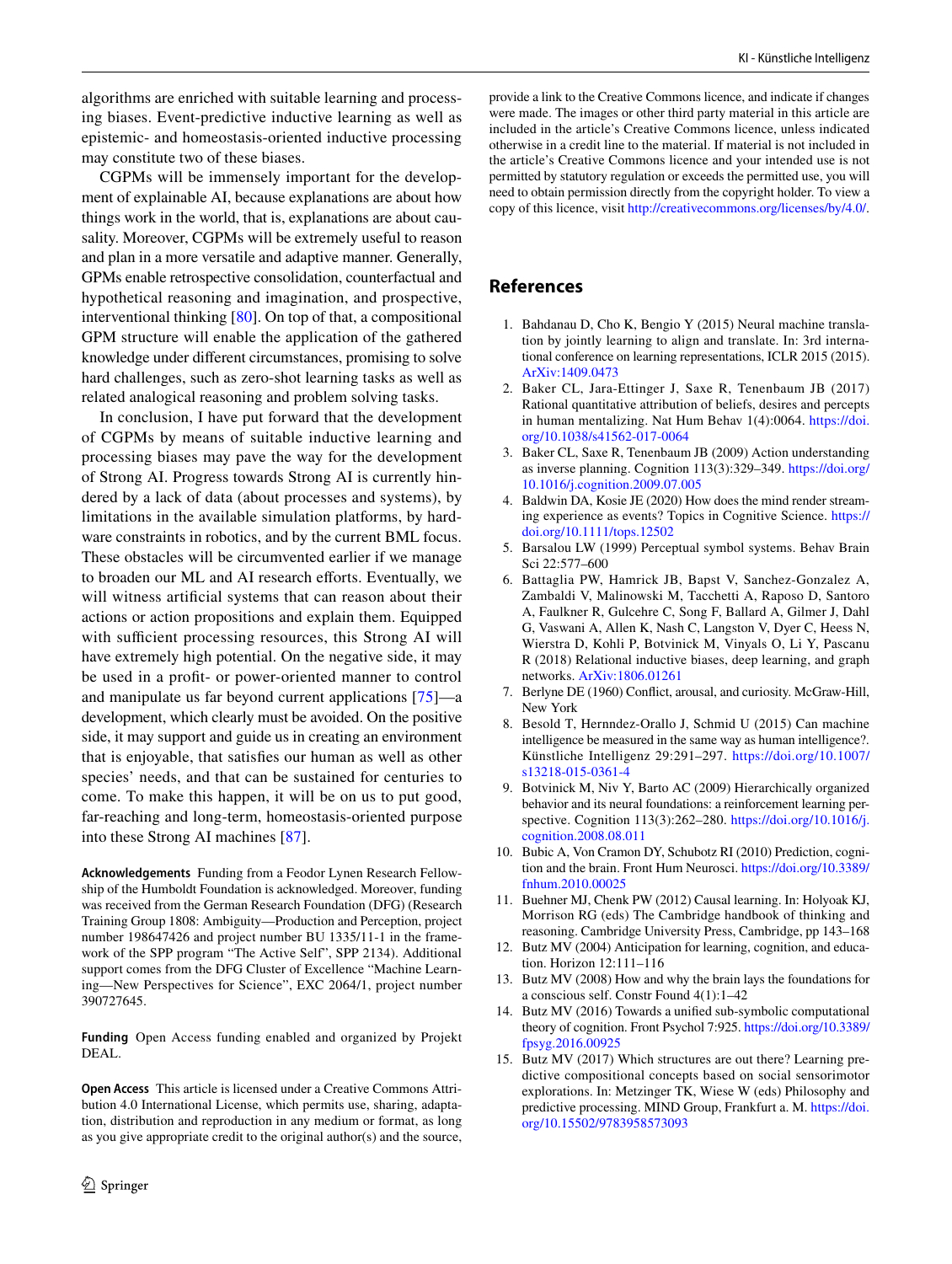algorithms are enriched with suitable learning and processing biases. Event-predictive inductive learning as well as epistemic- and homeostasis-oriented inductive processing may constitute two of these biases.

CGPMs will be immensely important for the development of explainable AI, because explanations are about how things work in the world, that is, explanations are about causality. Moreover, CGPMs will be extremely useful to reason and plan in a more versatile and adaptive manner. Generally, GPMs enable retrospective consolidation, counterfactual and hypothetical reasoning and imagination, and prospective, interventional thinking [[80\]](#page-9-15). On top of that, a compositional GPM structure will enable the application of the gathered knowledge under diferent circumstances, promising to solve hard challenges, such as zero-shot learning tasks as well as related analogical reasoning and problem solving tasks.

In conclusion, I have put forward that the development of CGPMs by means of suitable inductive learning and processing biases may pave the way for the development of Strong AI. Progress towards Strong AI is currently hindered by a lack of data (about processes and systems), by limitations in the available simulation platforms, by hardware constraints in robotics, and by the current BML focus. These obstacles will be circumvented earlier if we manage to broaden our ML and AI research efforts. Eventually, we will witness artificial systems that can reason about their actions or action propositions and explain them. Equipped with sufficient processing resources, this Strong AI will have extremely high potential. On the negative side, it may be used in a proft- or power-oriented manner to control and manipulate us far beyond current applications [\[75](#page-9-37)]—a development, which clearly must be avoided. On the positive side, it may support and guide us in creating an environment that is enjoyable, that satisfes our human as well as other species' needs, and that can be sustained for centuries to come. To make this happen, it will be on us to put good, far-reaching and long-term, homeostasis-oriented purpose into these Strong AI machines [[87\]](#page-9-26).

**Acknowledgements** Funding from a Feodor Lynen Research Fellowship of the Humboldt Foundation is acknowledged. Moreover, funding was received from the German Research Foundation (DFG) (Research Training Group 1808: Ambiguity—Production and Perception, project number 198647426 and project number BU 1335/11-1 in the framework of the SPP program "The Active Self", SPP 2134). Additional support comes from the DFG Cluster of Excellence "Machine Learning—New Perspectives for Science", EXC 2064/1, project number 390727645.

**Funding** Open Access funding enabled and organized by Projekt DEAL.

**Open Access** This article is licensed under a Creative Commons Attribution 4.0 International License, which permits use, sharing, adaptation, distribution and reproduction in any medium or format, as long as you give appropriate credit to the original author(s) and the source,

provide a link to the Creative Commons licence, and indicate if changes were made. The images or other third party material in this article are included in the article's Creative Commons licence, unless indicated otherwise in a credit line to the material. If material is not included in the article's Creative Commons licence and your intended use is not permitted by statutory regulation or exceeds the permitted use, you will need to obtain permission directly from the copyright holder. To view a copy of this licence, visit<http://creativecommons.org/licenses/by/4.0/>.

# **References**

- <span id="page-7-0"></span>1. Bahdanau D, Cho K, Bengio Y (2015) Neural machine translation by jointly learning to align and translate. In: 3rd international conference on learning representations, ICLR 2015 (2015). [ArXiv:1409.0473](http://arxiv.org/abs/1409.0473)
- <span id="page-7-12"></span>2. Baker CL, Jara-Ettinger J, Saxe R, Tenenbaum JB (2017) Rational quantitative attribution of beliefs, desires and percepts in human mentalizing. Nat Hum Behav 1(4):0064. [https://doi.](https://doi.org/10.1038/s41562-017-0064) [org/10.1038/s41562-017-0064](https://doi.org/10.1038/s41562-017-0064)
- <span id="page-7-11"></span>3. Baker CL, Saxe R, Tenenbaum JB (2009) Action understanding as inverse planning. Cognition 113(3):329–349. [https://doi.org/](https://doi.org/10.1016/j.cognition.2009.07.005) [10.1016/j.cognition.2009.07.005](https://doi.org/10.1016/j.cognition.2009.07.005)
- <span id="page-7-13"></span>4. Baldwin DA, Kosie JE (2020) How does the mind render streaming experience as events? Topics in Cognitive Science. [https://](https://doi.org/10.1111/tops.12502) [doi.org/10.1111/tops.12502](https://doi.org/10.1111/tops.12502)
- <span id="page-7-6"></span>5. Barsalou LW (1999) Perceptual symbol systems. Behav Brain Sci 22:577–600
- <span id="page-7-3"></span>6. Battaglia PW, Hamrick JB, Bapst V, Sanchez-Gonzalez A, Zambaldi V, Malinowski M, Tacchetti A, Raposo D, Santoro A, Faulkner R, Gulcehre C, Song F, Ballard A, Gilmer J, Dahl G, Vaswani A, Allen K, Nash C, Langston V, Dyer C, Heess N, Wierstra D, Kohli P, Botvinick M, Vinyals O, Li Y, Pascanu R (2018) Relational inductive biases, deep learning, and graph networks. [ArXiv:1806.01261](http://arxiv.org/abs/ArXiv:1806.01261)
- <span id="page-7-4"></span>7. Berlyne DE (1960) Confict, arousal, and curiosity. McGraw-Hill, New York
- <span id="page-7-5"></span>8. Besold T, Hernndez-Orallo J, Schmid U (2015) Can machine intelligence be measured in the same way as human intelligence?. Künstliche Intelligenz 29:291–297. [https://doi.org/10.1007/](https://doi.org/10.1007/s13218-015-0361-4) [s13218-015-0361-4](https://doi.org/10.1007/s13218-015-0361-4)
- <span id="page-7-14"></span>9. Botvinick M, Niv Y, Barto AC (2009) Hierarchically organized behavior and its neural foundations: a reinforcement learning perspective. Cognition 113(3):262–280. [https://doi.org/10.1016/j.](https://doi.org/10.1016/j.cognition.2008.08.011) [cognition.2008.08.011](https://doi.org/10.1016/j.cognition.2008.08.011)
- <span id="page-7-9"></span>10. Bubic A, Von Cramon DY, Schubotz RI (2010) Prediction, cognition and the brain. Front Hum Neurosci. [https://doi.org/10.3389/](https://doi.org/10.3389/fnhum.2010.00025) [fnhum.2010.00025](https://doi.org/10.3389/fnhum.2010.00025)
- <span id="page-7-10"></span>11. Buehner MJ, Chenk PW (2012) Causal learning. In: Holyoak KJ, Morrison RG (eds) The Cambridge handbook of thinking and reasoning. Cambridge University Press, Cambridge, pp 143–168
- <span id="page-7-8"></span>12. Butz MV (2004) Anticipation for learning, cognition, and education. Horizon 12:111–116
- <span id="page-7-1"></span>13. Butz MV (2008) How and why the brain lays the foundations for a conscious self. Constr Found 4(1):1–42
- <span id="page-7-2"></span>14. Butz MV (2016) Towards a unifed sub-symbolic computational theory of cognition. Front Psychol 7:925. [https://doi.org/10.3389/](https://doi.org/10.3389/fpsyg.2016.00925) [fpsyg.2016.00925](https://doi.org/10.3389/fpsyg.2016.00925)
- <span id="page-7-7"></span>15. Butz MV (2017) Which structures are out there? Learning predictive compositional concepts based on social sensorimotor explorations. In: Metzinger TK, Wiese W (eds) Philosophy and predictive processing. MIND Group, Frankfurt a. M. [https://doi.](https://doi.org/10.15502/9783958573093) [org/10.15502/9783958573093](https://doi.org/10.15502/9783958573093)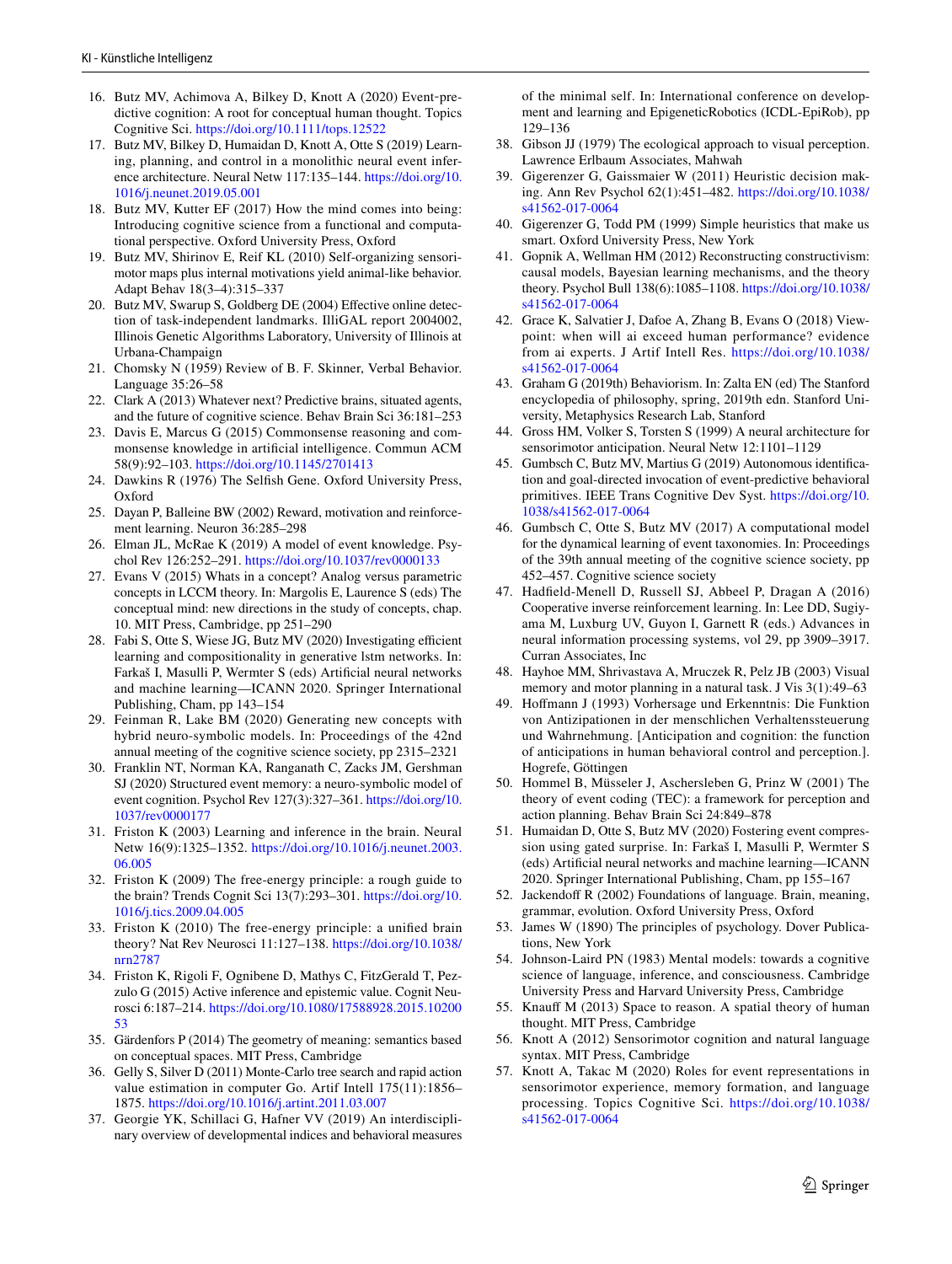- <span id="page-8-15"></span>16. Butz MV, Achimova A, Bilkey D, Knott A (2020) Event‐predictive cognition: A root for conceptual human thought. Topics Cognitive Sci. <https://doi.org/10.1111/tops.12522>
- <span id="page-8-21"></span>17. Butz MV, Bilkey D, Humaidan D, Knott A, Otte S (2019) Learning, planning, and control in a monolithic neural event inference architecture. Neural Netw 117:135–144. [https://doi.org/10.](https://doi.org/10.1016/j.neunet.2019.05.001) [1016/j.neunet.2019.05.001](https://doi.org/10.1016/j.neunet.2019.05.001)
- <span id="page-8-4"></span>18. Butz MV, Kutter EF (2017) How the mind comes into being: Introducing cognitive science from a functional and computational perspective. Oxford University Press, Oxford
- <span id="page-8-29"></span>19. Butz MV, Shirinov E, Reif KL (2010) Self-organizing sensorimotor maps plus internal motivations yield animal-like behavior. Adapt Behav 18(3–4):315–337
- <span id="page-8-38"></span>20. Butz MV, Swarup S, Goldberg DE (2004) Efective online detection of task-independent landmarks. IlliGAL report 2004002, Illinois Genetic Algorithms Laboratory, University of Illinois at Urbana-Champaign
- <span id="page-8-3"></span>21. Chomsky N (1959) Review of B. F. Skinner, Verbal Behavior. Language 35:26–58
- <span id="page-8-17"></span>22. Clark A (2013) Whatever next? Predictive brains, situated agents, and the future of cognitive science. Behav Brain Sci 36:181–253
- <span id="page-8-9"></span>23. Davis E, Marcus G (2015) Commonsense reasoning and commonsense knowledge in artifcial intelligence. Commun ACM 58(9):92–103. <https://doi.org/10.1145/2701413>
- <span id="page-8-14"></span>24. Dawkins R (1976) The Selfsh Gene. Oxford University Press, Oxford
- <span id="page-8-30"></span>25. Dayan P, Balleine BW (2002) Reward, motivation and reinforcement learning. Neuron 36:285–298
- <span id="page-8-33"></span>26. Elman JL, McRae K (2019) A model of event knowledge. Psychol Rev 126:252–291.<https://doi.org/10.1037/rev0000133>
- <span id="page-8-34"></span>27. Evans V (2015) Whats in a concept? Analog versus parametric concepts in LCCM theory. In: Margolis E, Laurence S (eds) The conceptual mind: new directions in the study of concepts, chap. 10. MIT Press, Cambridge, pp 251–290
- <span id="page-8-24"></span>28. Fabi S, Otte S, Wiese JG, Butz MV (2020) Investigating efficient learning and compositionality in generative lstm networks. In: Farkaš I, Masulli P, Wermter S (eds) Artifcial neural networks and machine learning—ICANN 2020. Springer International Publishing, Cham, pp 143–154
- <span id="page-8-23"></span>29. Feinman R, Lake BM (2020) Generating new concepts with hybrid neuro-symbolic models. In: Proceedings of the 42nd annual meeting of the cognitive science society, pp 2315–2321
- <span id="page-8-28"></span>30. Franklin NT, Norman KA, Ranganath C, Zacks JM, Gershman SJ (2020) Structured event memory: a neuro-symbolic model of event cognition. Psychol Rev 127(3):327–361. [https://doi.org/10.](https://doi.org/10.1037/rev0000177) [1037/rev0000177](https://doi.org/10.1037/rev0000177)
- <span id="page-8-19"></span>31. Friston K (2003) Learning and inference in the brain. Neural Netw 16(9):1325–1352. [https://doi.org/10.1016/j.neunet.2003.](https://doi.org/10.1016/j.neunet.2003.06.005) [06.005](https://doi.org/10.1016/j.neunet.2003.06.005)
- <span id="page-8-5"></span>32. Friston K (2009) The free-energy principle: a rough guide to the brain? Trends Cognit Sci 13(7):293–301. [https://doi.org/10.](https://doi.org/10.1016/j.tics.2009.04.005) [1016/j.tics.2009.04.005](https://doi.org/10.1016/j.tics.2009.04.005)
- <span id="page-8-10"></span>33. Friston K (2010) The free-energy principle: a unifed brain theory? Nat Rev Neurosci 11:127–138. [https://doi.org/10.1038/](https://doi.org/10.1038/nrn2787) [nrn2787](https://doi.org/10.1038/nrn2787)
- <span id="page-8-20"></span>34. Friston K, Rigoli F, Ognibene D, Mathys C, FitzGerald T, Pezzulo G (2015) Active inference and epistemic value. Cognit Neurosci 6:187–214. [https://doi.org/10.1080/17588928.2015.10200](https://doi.org/10.1080/17588928.2015.1020053) [53](https://doi.org/10.1080/17588928.2015.1020053)
- <span id="page-8-32"></span>35. Gärdenfors P (2014) The geometry of meaning: semantics based on conceptual spaces. MIT Press, Cambridge
- <span id="page-8-0"></span>36. Gelly S, Silver D (2011) Monte-Carlo tree search and rapid action value estimation in computer Go. Artif Intell 175(11):1856– 1875. <https://doi.org/10.1016/j.artint.2011.03.007>
- <span id="page-8-16"></span>37. Georgie YK, Schillaci G, Hafner VV (2019) An interdisciplinary overview of developmental indices and behavioral measures

of the minimal self. In: International conference on development and learning and EpigeneticRobotics (ICDL-EpiRob), pp 129–136

- <span id="page-8-25"></span>38. Gibson JJ (1979) The ecological approach to visual perception. Lawrence Erlbaum Associates, Mahwah
- <span id="page-8-12"></span>39. Gigerenzer G, Gaissmaier W (2011) Heuristic decision making. Ann Rev Psychol 62(1):451–482. [https://doi.org/10.1038/](https://doi.org/10.1038/s41562-017-0064) [s41562-017-0064](https://doi.org/10.1038/s41562-017-0064)
- <span id="page-8-13"></span>40. Gigerenzer G, Todd PM (1999) Simple heuristics that make us smart. Oxford University Press, New York
- <span id="page-8-27"></span>41. Gopnik A, Wellman HM (2012) Reconstructing constructivism: causal models, Bayesian learning mechanisms, and the theory theory. Psychol Bull 138(6):1085–1108. [https://doi.org/10.1038/](https://doi.org/10.1038/s41562-017-0064) [s41562-017-0064](https://doi.org/10.1038/s41562-017-0064)
- <span id="page-8-11"></span>42. Grace K, Salvatier J, Dafoe A, Zhang B, Evans O (2018) Viewpoint: when will ai exceed human performance? evidence from ai experts. J Artif Intell Res. [https://doi.org/10.1038/](https://doi.org/10.1038/s41562-017-0064) [s41562-017-0064](https://doi.org/10.1038/s41562-017-0064)
- <span id="page-8-1"></span>43. Graham G (2019th) Behaviorism. In: Zalta EN (ed) The Stanford encyclopedia of philosophy, spring, 2019th edn. Stanford University, Metaphysics Research Lab, Stanford
- <span id="page-8-18"></span>44. Gross HM, Volker S, Torsten S (1999) A neural architecture for sensorimotor anticipation. Neural Netw 12:1101–1129
- <span id="page-8-39"></span>45. Gumbsch C, Butz MV, Martius G (2019) Autonomous identifcation and goal-directed invocation of event-predictive behavioral primitives. IEEE Trans Cognitive Dev Syst. [https://doi.org/10.](https://doi.org/10.1038/s41562-017-0064) [1038/s41562-017-0064](https://doi.org/10.1038/s41562-017-0064)
- <span id="page-8-40"></span>46. Gumbsch C, Otte S, Butz MV (2017) A computational model for the dynamical learning of event taxonomies. In: Proceedings of the 39th annual meeting of the cognitive science society, pp 452–457. Cognitive science society
- <span id="page-8-26"></span>47. Hadfeld-Menell D, Russell SJ, Abbeel P, Dragan A (2016) Cooperative inverse reinforcement learning. In: Lee DD, Sugiyama M, Luxburg UV, Guyon I, Garnett R (eds.) Advances in neural information processing systems, vol 29, pp 3909–3917. Curran Associates, Inc
- <span id="page-8-41"></span>48. Hayhoe MM, Shrivastava A, Mruczek R, Pelz JB (2003) Visual memory and motor planning in a natural task. J Vis 3(1):49–63
- <span id="page-8-6"></span>49. Hofmann J (1993) Vorhersage und Erkenntnis: Die Funktion von Antizipationen in der menschlichen Verhaltenssteuerung und Wahrnehmung. [Anticipation and cognition: the function of anticipations in human behavioral control and perception.]. Hogrefe, Göttingen
- <span id="page-8-31"></span>50. Hommel B, Müsseler J, Aschersleben G, Prinz W (2001) The theory of event coding (TEC): a framework for perception and action planning. Behav Brain Sci 24:849–878
- <span id="page-8-22"></span>51. Humaidan D, Otte S, Butz MV (2020) Fostering event compression using gated surprise. In: Farkaš I, Masulli P, Wermter S (eds) Artifcial neural networks and machine learning—ICANN 2020. Springer International Publishing, Cham, pp 155–167
- <span id="page-8-35"></span>52. Jackendoff R (2002) Foundations of language. Brain, meaning, grammar, evolution. Oxford University Press, Oxford
- <span id="page-8-2"></span>53. James W (1890) The principles of psychology. Dover Publications, New York
- <span id="page-8-7"></span>54. Johnson-Laird PN (1983) Mental models: towards a cognitive science of language, inference, and consciousness. Cambridge University Press and Harvard University Press, Cambridge
- <span id="page-8-8"></span>55. Knauf M (2013) Space to reason. A spatial theory of human thought. MIT Press, Cambridge
- <span id="page-8-36"></span>56. Knott A (2012) Sensorimotor cognition and natural language syntax. MIT Press, Cambridge
- <span id="page-8-37"></span>57. Knott A, Takac M (2020) Roles for event representations in sensorimotor experience, memory formation, and language processing. Topics Cognitive Sci. [https://doi.org/10.1038/](https://doi.org/10.1038/s41562-017-0064) [s41562-017-0064](https://doi.org/10.1038/s41562-017-0064)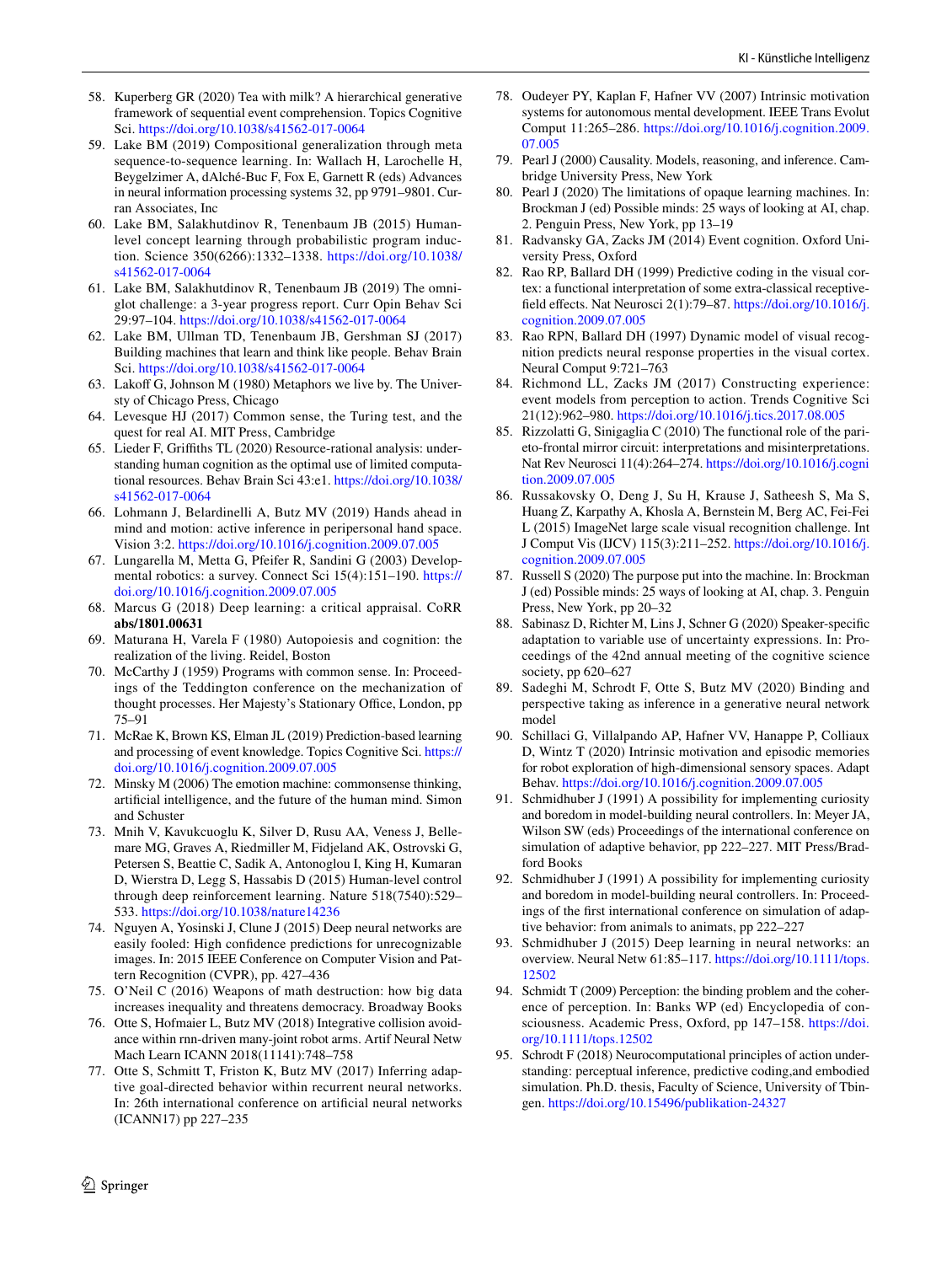- <span id="page-9-32"></span>58. Kuperberg GR (2020) Tea with milk? A hierarchical generative framework of sequential event comprehension. Topics Cognitive Sci. <https://doi.org/10.1038/s41562-017-0064>
- <span id="page-9-25"></span>59. Lake BM (2019) Compositional generalization through meta sequence-to-sequence learning. In: Wallach H, Larochelle H, Beygelzimer A, dAlché-Buc F, Fox E, Garnett R (eds) Advances in neural information processing systems 32, pp 9791–9801. Curran Associates, Inc
- <span id="page-9-5"></span>60. Lake BM, Salakhutdinov R, Tenenbaum JB (2015) Humanlevel concept learning through probabilistic program induction. Science 350(6266):1332–1338. [https://doi.org/10.1038/](https://doi.org/10.1038/s41562-017-0064) [s41562-017-0064](https://doi.org/10.1038/s41562-017-0064)
- <span id="page-9-24"></span>61. Lake BM, Salakhutdinov R, Tenenbaum JB (2019) The omniglot challenge: a 3-year progress report. Curr Opin Behav Sci 29:97–104.<https://doi.org/10.1038/s41562-017-0064>
- <span id="page-9-3"></span>62. Lake BM, Ullman TD, Tenenbaum JB, Gershman SJ (2017) Building machines that learn and think like people. Behav Brain Sci. <https://doi.org/10.1038/s41562-017-0064>
- <span id="page-9-35"></span>63. Lakoff G, Johnson M (1980) Metaphors we live by. The Universty of Chicago Press, Chicago
- <span id="page-9-10"></span>64. Levesque HJ (2017) Common sense, the Turing test, and the quest for real AI. MIT Press, Cambridge
- <span id="page-9-13"></span>65. Lieder F, Grifths TL (2020) Resource-rational analysis: understanding human cognition as the optimal use of limited computational resources. Behav Brain Sci 43:e1. [https://doi.org/10.1038/](https://doi.org/10.1038/s41562-017-0064) [s41562-017-0064](https://doi.org/10.1038/s41562-017-0064)
- <span id="page-9-36"></span>66. Lohmann J, Belardinelli A, Butz MV (2019) Hands ahead in mind and motion: active inference in peripersonal hand space. Vision 3:2. <https://doi.org/10.1016/j.cognition.2009.07.005>
- <span id="page-9-16"></span>67. Lungarella M, Metta G, Pfeifer R, Sandini G (2003) Developmental robotics: a survey. Connect Sci 15(4):151–190. [https://](https://doi.org/10.1016/j.cognition.2009.07.005) [doi.org/10.1016/j.cognition.2009.07.005](https://doi.org/10.1016/j.cognition.2009.07.005)
- <span id="page-9-4"></span>68. Marcus G (2018) Deep learning: a critical appraisal. CoRR **abs/1801.00631**
- <span id="page-9-29"></span>69. Maturana H, Varela F (1980) Autopoiesis and cognition: the realization of the living. Reidel, Boston
- <span id="page-9-11"></span>70. McCarthy J (1959) Programs with common sense. In: Proceedings of the Teddington conference on the mechanization of thought processes. Her Majesty's Stationary Office, London, pp 75–91
- <span id="page-9-33"></span>71. McRae K, Brown KS, Elman JL (2019) Prediction-based learning and processing of event knowledge. Topics Cognitive Sci. [https://](https://doi.org/10.1016/j.cognition.2009.07.005) [doi.org/10.1016/j.cognition.2009.07.005](https://doi.org/10.1016/j.cognition.2009.07.005)
- <span id="page-9-12"></span>72. Minsky M (2006) The emotion machine: commonsense thinking, artifcial intelligence, and the future of the human mind. Simon and Schuster
- <span id="page-9-2"></span>73. Mnih V, Kavukcuoglu K, Silver D, Rusu AA, Veness J, Bellemare MG, Graves A, Riedmiller M, Fidjeland AK, Ostrovski G, Petersen S, Beattie C, Sadik A, Antonoglou I, King H, Kumaran D, Wierstra D, Legg S, Hassabis D (2015) Human-level control through deep reinforcement learning. Nature 518(7540):529– 533. <https://doi.org/10.1038/nature14236>
- <span id="page-9-6"></span>74. Nguyen A, Yosinski J, Clune J (2015) Deep neural networks are easily fooled: High confdence predictions for unrecognizable images. In: 2015 IEEE Conference on Computer Vision and Pattern Recognition (CVPR), pp. 427–436
- <span id="page-9-37"></span>75. O'Neil C (2016) Weapons of math destruction: how big data increases inequality and threatens democracy. Broadway Books
- <span id="page-9-19"></span>76. Otte S, Hofmaier L, Butz MV (2018) Integrative collision avoidance within rnn-driven many-joint robot arms. Artif Neural Netw Mach Learn ICANN 2018(11141):748–758
- <span id="page-9-20"></span>77. Otte S, Schmitt T, Friston K, Butz MV (2017) Inferring adaptive goal-directed behavior within recurrent neural networks. In: 26th international conference on artifcial neural networks (ICANN17) pp 227–235
- <span id="page-9-7"></span>78. Oudeyer PY, Kaplan F, Hafner VV (2007) Intrinsic motivation systems for autonomous mental development. IEEE Trans Evolut Comput 11:265–286. [https://doi.org/10.1016/j.cognition.2009.](https://doi.org/10.1016/j.cognition.2009.07.005) [07.005](https://doi.org/10.1016/j.cognition.2009.07.005)
- <span id="page-9-14"></span>79. Pearl J (2000) Causality. Models, reasoning, and inference. Cambridge University Press, New York
- <span id="page-9-15"></span>80. Pearl J (2020) The limitations of opaque learning machines. In: Brockman J (ed) Possible minds: 25 ways of looking at AI, chap. 2. Penguin Press, New York, pp 13–19
- <span id="page-9-27"></span>81. Radvansky GA, Zacks JM (2014) Event cognition. Oxford University Press, Oxford
- <span id="page-9-9"></span>82. Rao RP, Ballard DH (1999) Predictive coding in the visual cortex: a functional interpretation of some extra-classical receptivefeld efects. Nat Neurosci 2(1):79–87. [https://doi.org/10.1016/j.](https://doi.org/10.1016/j.cognition.2009.07.005) [cognition.2009.07.005](https://doi.org/10.1016/j.cognition.2009.07.005)
- <span id="page-9-17"></span>83. Rao RPN, Ballard DH (1997) Dynamic model of visual recognition predicts neural response properties in the visual cortex. Neural Comput 9:721–763
- <span id="page-9-28"></span>84. Richmond LL, Zacks JM (2017) Constructing experience: event models from perception to action. Trends Cognitive Sci 21(12):962–980.<https://doi.org/10.1016/j.tics.2017.08.005>
- <span id="page-9-34"></span>85. Rizzolatti G, Sinigaglia C (2010) The functional role of the parieto-frontal mirror circuit: interpretations and misinterpretations. Nat Rev Neurosci 11(4):264–274. [https://doi.org/10.1016/j.cogni](https://doi.org/10.1016/j.cognition.2009.07.005) [tion.2009.07.005](https://doi.org/10.1016/j.cognition.2009.07.005)
- <span id="page-9-1"></span>86. Russakovsky O, Deng J, Su H, Krause J, Satheesh S, Ma S, Huang Z, Karpathy A, Khosla A, Bernstein M, Berg AC, Fei-Fei L (2015) ImageNet large scale visual recognition challenge. Int J Comput Vis (IJCV) 115(3):211–252. [https://doi.org/10.1016/j.](https://doi.org/10.1016/j.cognition.2009.07.005) [cognition.2009.07.005](https://doi.org/10.1016/j.cognition.2009.07.005)
- <span id="page-9-26"></span>87. Russell S (2020) The purpose put into the machine. In: Brockman J (ed) Possible minds: 25 ways of looking at AI, chap. 3. Penguin Press, New York, pp 20–32
- <span id="page-9-22"></span>88. Sabinasz D, Richter M, Lins J, Schner G (2020) Speaker-specifc adaptation to variable use of uncertainty expressions. In: Proceedings of the 42nd annual meeting of the cognitive science society, pp 620–627
- <span id="page-9-23"></span>89. Sadeghi M, Schrodt F, Otte S, Butz MV (2020) Binding and perspective taking as inference in a generative neural network model
- <span id="page-9-30"></span>90. Schillaci G, Villalpando AP, Hafner VV, Hanappe P, Colliaux D, Wintz T (2020) Intrinsic motivation and episodic memories for robot exploration of high-dimensional sensory spaces. Adapt Behav. <https://doi.org/10.1016/j.cognition.2009.07.005>
- <span id="page-9-8"></span>91. Schmidhuber J (1991) A possibility for implementing curiosity and boredom in model-building neural controllers. In: Meyer JA, Wilson SW (eds) Proceedings of the international conference on simulation of adaptive behavior, pp 222–227. MIT Press/Bradford Books
- <span id="page-9-31"></span>92. Schmidhuber J (1991) A possibility for implementing curiosity and boredom in model-building neural controllers. In: Proceedings of the frst international conference on simulation of adaptive behavior: from animals to animats, pp 222–227
- <span id="page-9-0"></span>93. Schmidhuber J (2015) Deep learning in neural networks: an overview. Neural Netw 61:85–117. [https://doi.org/10.1111/tops.](https://doi.org/10.1111/tops.12502) [12502](https://doi.org/10.1111/tops.12502)
- <span id="page-9-21"></span>94. Schmidt T (2009) Perception: the binding problem and the coherence of perception. In: Banks WP (ed) Encyclopedia of consciousness. Academic Press, Oxford, pp 147–158. [https://doi.](https://doi.org/10.1111/tops.12502) [org/10.1111/tops.12502](https://doi.org/10.1111/tops.12502)
- <span id="page-9-18"></span>95. Schrodt F (2018) Neurocomputational principles of action understanding: perceptual inference, predictive coding,and embodied simulation. Ph.D. thesis, Faculty of Science, University of Tbingen.<https://doi.org/10.15496/publikation-24327>